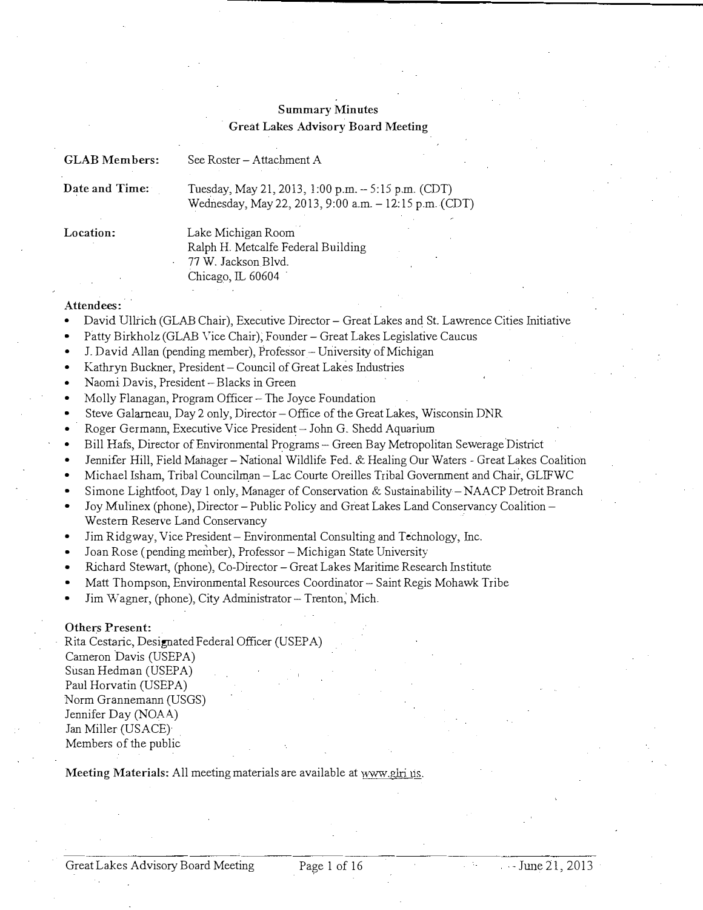# Summary Minutes Great Lakes Advisory Board Meeting

| <b>GLAB</b> Members:                                                                                                                                                                                                                                                                                                                                                                                                                                                                                                                                                                                                                                                                                                                                                                                                                                                                                                                                                                                                                                                                                                                                                                                                                                                                                                                                                                                                                                                                                                                                                                                                                                | See Roster - Attachment A                                                                                   |
|-----------------------------------------------------------------------------------------------------------------------------------------------------------------------------------------------------------------------------------------------------------------------------------------------------------------------------------------------------------------------------------------------------------------------------------------------------------------------------------------------------------------------------------------------------------------------------------------------------------------------------------------------------------------------------------------------------------------------------------------------------------------------------------------------------------------------------------------------------------------------------------------------------------------------------------------------------------------------------------------------------------------------------------------------------------------------------------------------------------------------------------------------------------------------------------------------------------------------------------------------------------------------------------------------------------------------------------------------------------------------------------------------------------------------------------------------------------------------------------------------------------------------------------------------------------------------------------------------------------------------------------------------------|-------------------------------------------------------------------------------------------------------------|
| Date and Time:                                                                                                                                                                                                                                                                                                                                                                                                                                                                                                                                                                                                                                                                                                                                                                                                                                                                                                                                                                                                                                                                                                                                                                                                                                                                                                                                                                                                                                                                                                                                                                                                                                      | Tuesday, May 21, 2013, 1:00 p.m. - 5:15 p.m. (CDT)<br>Wednesday, May 22, 2013, 9:00 a.m. - 12:15 p.m. (CDT) |
| Location:<br>Lake Michigan Room<br>Ralph H. Metcalfe Federal Building<br>77 W. Jackson Blvd.<br>Chicago, IL 60604<br>Attendees:<br>David Ullrich (GLAB Chair), Executive Director - Great Lakes and St. Lawrence Cities Initiative<br>Patty Birkholz (GLAB Vice Chair), Founder - Great Lakes Legislative Caucus<br>J. David Allan (pending member), Professor - University of Michigan<br>Kathryn Buckner, President - Council of Great Lakes Industries<br>Naomi Davis, President - Blacks in Green<br>٠<br>Molly Flanagan, Program Officer - The Joyce Foundation<br>Steve Galarneau, Day 2 only, Director - Office of the Great Lakes, Wisconsin DNR<br>Roger Germann, Executive Vice President - John G. Shedd Aquarium<br>Bill Hafs, Director of Environmental Programs - Green Bay Metropolitan Sewerage District<br>Jennifer Hill, Field Manager - National Wildlife Fed. & Healing Our Waters - Great Lakes Coalition<br>Michael Isham, Tribal Councilman - Lac Courte Oreilles Tribal Government and Chair, GLIFWC<br>Simone Lightfoot, Day 1 only, Manager of Conservation & Sustainability – NAACP Detroit Branch<br>Joy Mulinex (phone), Director – Public Policy and Great Lakes Land Conservancy Coalition –<br>Western Reserve Land Conservancy<br>Jim Ridgway, Vice President - Environmental Consulting and Technology, Inc.<br>Joan Rose (pending member), Professor - Michigan State University<br>Richard Stewart, (phone), Co-Director - Great Lakes Maritime Research Institute<br>Matt Thompson, Environmental Resources Coordinator - Saint Regis Mohawk Tribe<br>Jim Wagner, (phone), City Administrator - Trenton, Mich. |                                                                                                             |
| Others Present:<br>Cameron Davis (USEPA)<br>Susan Hedman (USEPA)<br>Paul Horvatin (USEPA)<br>Norm Grannemann (USGS)<br>Jennifer Day (NOAA)<br>Jan Miller (USACE)<br>Members of the public                                                                                                                                                                                                                                                                                                                                                                                                                                                                                                                                                                                                                                                                                                                                                                                                                                                                                                                                                                                                                                                                                                                                                                                                                                                                                                                                                                                                                                                           | Rita Cestaric, Designated Federal Officer (USEPA)                                                           |

Meeting Materials: All meeting materials are available at www.glri.us.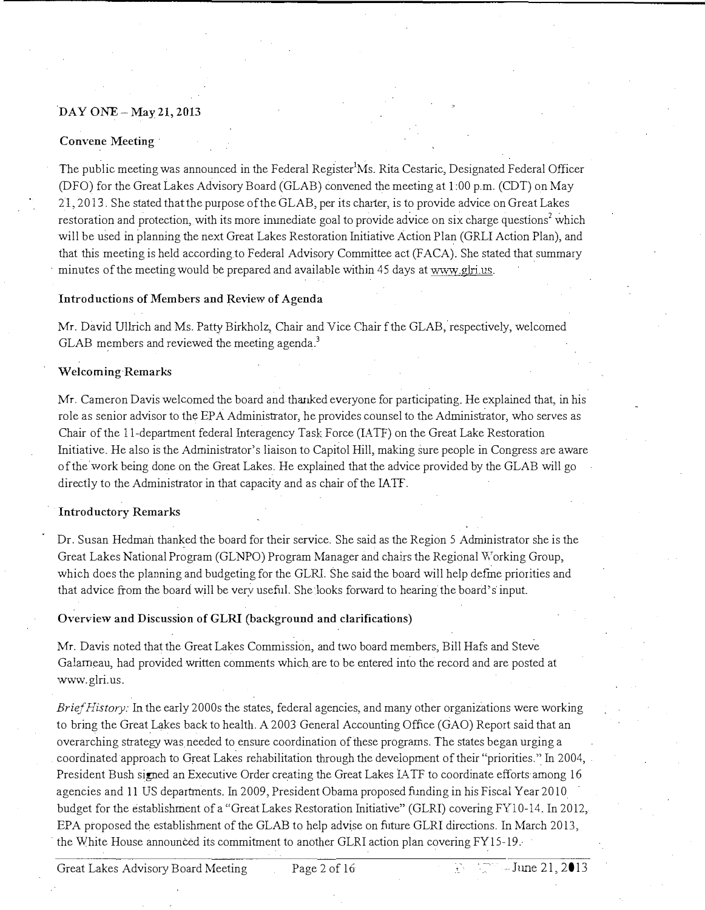# DAY ONE-May 21, 2013

### Convene Meeting

The public meeting was announced in the Federal Register<sup>1</sup>Ms. Rita Cestaric, Designated Federal Officer (DFO) for the Great Lakes Advisory Board (GLAB) convened the meeting at l :00 p.m. (CDT) on May 21, 2013. She stated that the purpose of the GLAB, per its charter, is to provide advice on Great Lakes restoration and protection, with its more inunediate goal to provide advice on six charge questions' which will be used in planning the next Great Lakes Restoration Initiative Action Plan (GRLI Action Plan), and that this meeting is held according to Federal Advisory Committee act (FACA). She stated that summary minutes of the meeting would be prepared and available within 45 days at www.glri.us.

### Introductions of Members and Review of Agenda

Mr. David Ullrich and Ms. Patty Birkholz, Chair and Vice Chair f the GLAB, respectively, welcomed GLAB members and reviewed the meeting agenda.<sup>3</sup>

### Welcoming-Remarks

Mr. Cameron Davis welcomed the board and thanked everyone for participating. He explained that, in his role as senior advisor to the EPA Administrator, he provides counsel to the Administrator, who serves as Chair of the ]]-department federal Interagency Task Force (IATF) on the Great Lake Restoration Initiative. He also is the Administrator's liaison to Capitol Hill, making sure people in Congress are aware of the work being done on the Great Lakes. He explained that the advice provided by the GLAB will go directly to the Administrator in that capacity and as chair of the IATF.

### Introductory Remarks

Dr. Susan Hedman thanked the board for their service. She said as the Region 5 Administrator she is the Great Lakes National Program (GLNPO) Program Manager and chairs the Regional Working Group, which does the plarming and budgeting for the GLRL She said the board will help defme priorities and that advice from the board will be very useful. She looks forward to hearing the board's input.

### Overview and Discussion of GLRI (background and clarifications)

Mr. Davis noted that the Great Lakes Commission, and two board members, Bill Hafs and Steve Galarneau, had provided written comments which are to be entered into the record and are posted at www.glri.us.

 $Brief History:$  In the early 2000s the states, federal agencies, and many other organizations were working to bring the Great Lakes back to health. A 2003 General Accounting Office (GAO) Report said that an overarching strategy was needed to ensure coordination of these programs. The states began urging a coordinated approach to Great Lakes rehabilitation through the development of their "priorities." In 2004, President Bush signed an Executive Order creating the Great Lakes lA TF to coordinate efforts among 16 agencies and ll US departments\_ In 2009, President Obama proposed funding in his Fiscal Year 2010 budget for the establishment of a "Great Lakes Restoration Initiative" (GLRI) covering FYl0-14. In 2012, EPA proposed the establishment of the GLAB to help advise on future GLRI directions. In March 2013, the White House announced its commitment to another GLRI action plan covering FY15-19.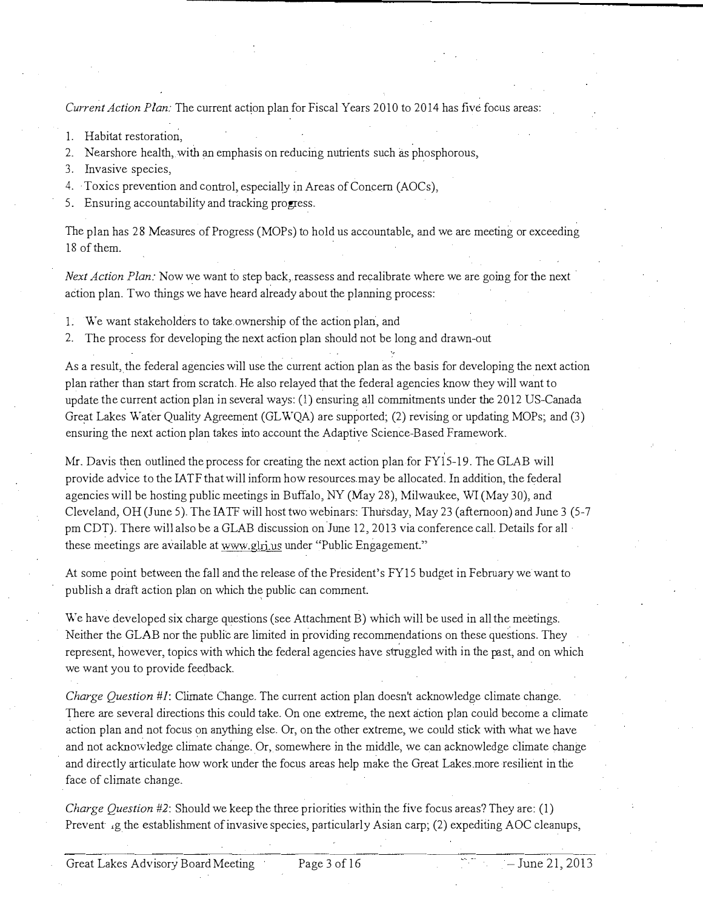Current Action Plan: The current action plan for Fiscal Years 2010 to 2014 has five focus areas:

- I. Habitat restoration,
- 2. Nearshore health, with an emphasis on reducing nutrients such as phosphorous,
- 3. Invasive species,
- 4. ·Taxies prevention and control, especially in Areas of Concern (AOCs),
- 5. Ensuring accountability and tracking progress.

The plan has 28 Measures of Progress (MOPs) to hold us accountable, and we are meeting or exceeding 18 of them.

Next Action Plan: Now we want to step back, reassess and recalibrate where we are going for the next action plan. Two things we have heard already about the planning process:

- I. We want stakeholders to take ownership of the action plan, and
- 2. The process for developing the next action plan should not be long and drawn-out

As a result, the federal agencies will use the current action plan as the basis for developing the next action plan rather than start from scratch. He also relayed that the federal agencies know they will want to update the current action plan in several ways: (I) ensuring all commitments under the 2012 US-Canada Great Lakes Water Quality Agreement (GLWQA) are supported; (2) revising or updating MOPs; and (3) ensuring the next action plan takes into account the Adaptive Science-Based Framework.

Mr. Davis then outlined the process for creating the next action plan for FYlS-19. The GLAB will provide advice to the IA TF that will inform how resources may be allocated. In addition, the federal agencies will be hosting public meetings in Buffalo,  $NY(May 28)$ , Milwaukee, WI(May 30), and Cleveland, OH (June 5). The IATF will host two webinars: Thursday, May 23 (afternoon) and June 3 (5-7 pm CDT). There will also be a GLAB discussion on June 12, 2013 via conference call. Details for all· these meetings are available at www.glri.us under "Public Engagement."

At some point between the fall and the release of the President's FYI5 budget in February we want to publish a draft action plan on which the public can comment.

We have developed six charge questions (see Attachment B) which will be used in all the meetings. Neither the GLAB nor the public are limited in providing recommendations on these questions. They represent, however, topics with which the federal agencies have struggled with in the past, and on which we want you to provide feedback.

Charge Question #1: Climate Change. The current action plan doesn't acknowledge climate change. There are several directions this could take. On one extreme, the next action plan could become a climate action plan and not focus on anything else. Or, on the other extreme, we could stick with what we have and not acknowledge climate change. Or, somewhere in the middle, we can acknowledge climate change and ditectly articulate how work under the focus areas help make the Great Lakes more resilient in the face of climate change.

Charge Question #2: Should we keep the three priorities within the five focus areas? They are: (1) Prevent ig the establishment of invasive species, particularly Asian carp; (2) expediting AOC cleanups,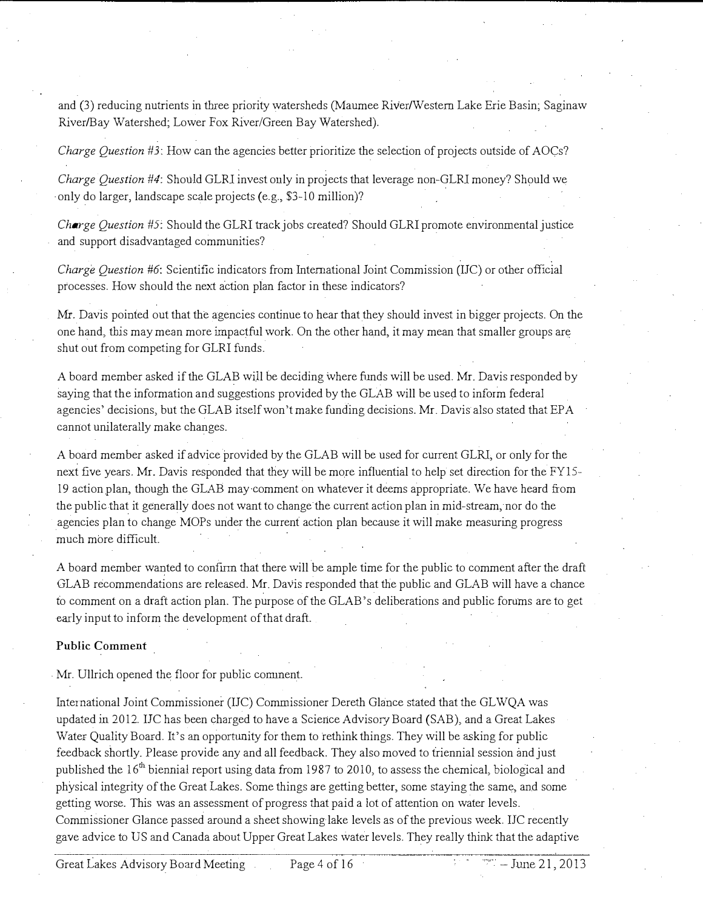and (3) reducing nutrients in three priority watersheds (Maumee River/Western Lake Erie Basin; Saginaw River/Bay Watershed; Lower Fox River/Green Bay Watershed).

Charge Question #3: How can the agencies better prioritize the selection of projects outside of AOCs?

Charge Question #4: Should GLRl invest ouly in projects that leverage non-GLRl money? Should we only do larger, landscape scale projects (e.g., \$3-10 million)?

*Charge Question #5:* Should the GLRI track jobs created? Should GLRI promote environmental justice and support disadvantaged communities?

Charge Question #6: Scientific indicators from International Joint Commission (IJC) or other official processes. How should the next action plan factor in these indicators?

Mr. Davis pointed out that the agencies continue to hear that they should invest in bigger projects. On the one hand, this may mean more impactful work. On the other hand, it may mean that smaller groups are shut out from competing for GLRl funds.

A board member asked if the GLAB will be deciding where funds will be used. Mr. Davis responded by saying that the information and suggestions provided by the GLAB will be used to inform federal agencies' decisions, but the GLAB itself won't make funding decisions. Mr. Davis also stated that EPA cannot unilaterally make changes.

A board member asked if advice provided by the GLAB will be used for current GLRl, or only for the next five years. Mr. Davis responded that they will be more influential to help set direction for the FYIS-19 action plan, though the GLAB may comment on whatever it deems appropriate. We have heard from the public that it generally does not want to change the current action plan in mid-stream, nor do the agencies plan to change MOPs under the current action plan because it will make measuring progress much more difficult.

A board member wanted to confmn that there will be ample time for the public to comment after the draft GLAB recommendations are released. Mr. Davis responded that the public and GLAB will have a chance to comment on a draft action plan. The purpose of the GLAB's deliberations and public forums are to get early input to inform the development of that draft.

### Public Comment

. Mr. Ullrich opened the floor for public conunent.

International Joint Commissioner (IJC) Commissioner Dereth Glance stated that the GLWQA was updated in 2012. IJC has been charged to have a Science Advisory Board (SAB), and a Great Lakes Water Quality Board. It's an opportunity for them to rethink things. They will be asking for public feedback shortly. Please provide any and all feedback. They also moved to triennial session and just published the 16<sup>th</sup> biennial report using data from 1987 to 2010, to assess the chemical, biological and physical integrity of the Great Lakes. Some things are getting better, some staying the same, and some getting worse. This was an assessment of progress that paid a Jot of attention on water levels. Commissioner Glance passed around a sheet showing lake levels as of the previous week. IJC recently gave advice to US and Canada about Upper Great Lakes water levels. They really think that tbe adaptive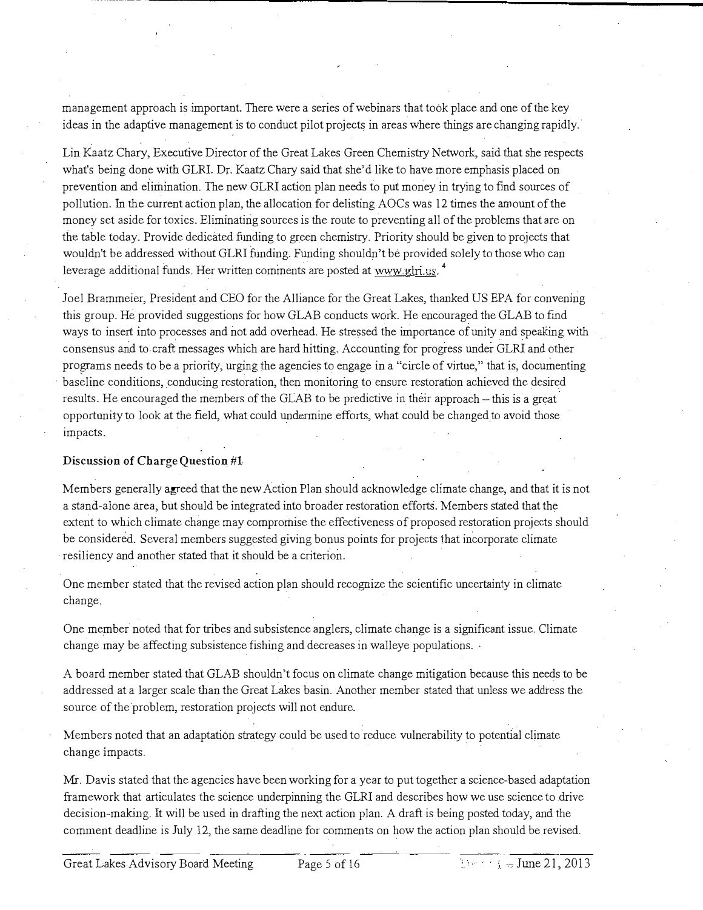management approach is important. There were a series of webinars that took place and one of the key ideas in the adaptive management is to conduct pilot projects in areas where things are changing rapidly.

Lin Kaatz Chary, Executive Director of the Great Lakes Green Chemistry Network, said that she respects what's being done with GLRI. Dr. Kaatz Chary said that she'd like to have more emphasis placed on prevention and elimination. The new GLRI action plan needs to put money in trying to find sources of pollution. In the current action plan, the allocation for delisting AOCs was 12 times the amount of the money set aside for toxics. Eliminating sources is the route to preventing all of the problems that are on the table today. Provide dedicated funding to green chemistry. Priority should be given to projects that wouldn't be addressed without GLRI funding. Funding shouldn't be provided solely to those who can leverage additional funds. Her written comments are posted at www.glri.us. <sup>4</sup>

Joel Brammeier, President and CEO for the Alliance for the Great Lakes, thanked US EPA for convening this group. He provided suggestions for how GLAB conducts work. He encouraged the GLAB to fmd ways to insert into processes and not add overhead. He stressed the importance of unity and speaking with consensus and to craft messages which are hard hitting\_ Accounting for progress under GLRI and other programs needs to be a priority, urging the agencies to engage in a "circle of virtue," that is, documenting baseline conditions, conducing restoration, then monitoring to ensure restoration achieved the desired results. He encouraged the members of the GLAB to be predictive in their approach – this is a great opportunity to look at the field, what could undermine efforts, what could be changed to avoid those impacts\_

## Discussion of Charge Question #l

Members generally agreed that the new Action Plan should acknowledge climate change, and that it is not a stand-alone area, but should be integrated into broader restoration efforts. Members stated that the extent to which climate change may compromise the effectiveness of proposed restoration projects should be considered. Several members suggested giving bonus points for projects that incorporate climate resiliency and another stated that it should be a criterion.

One member stated that the revised action plan should recognize the scientific uncertainty in climate change\_

One member noted that for tribes and subsistence anglers, climate change is a significant issue\_ Climate change may be affecting subsistence fishing and decreases in walleye populations.

A board member stated that GLAB shouldn't focus on climate change mitigation because this needs to be addressed at a larger scale than the Great Lakes basin. Another member stated that unless we address the source of the problem, restoration projects will not endure.

Members noted that an adaptation strategy could be used to reduce vulnerability to potential climate change impacts.

Mr. Davis stated that the agencies have been working for a year to put together a science-based adaptation framework that articulates the science underpinning the GLRI and describes how we use science to .drive decision-making. It will be used in drafting the next action plan. A draft is being posted today, and the comment deadline is July 12, the same deadline for comments on how the action plan should be revised.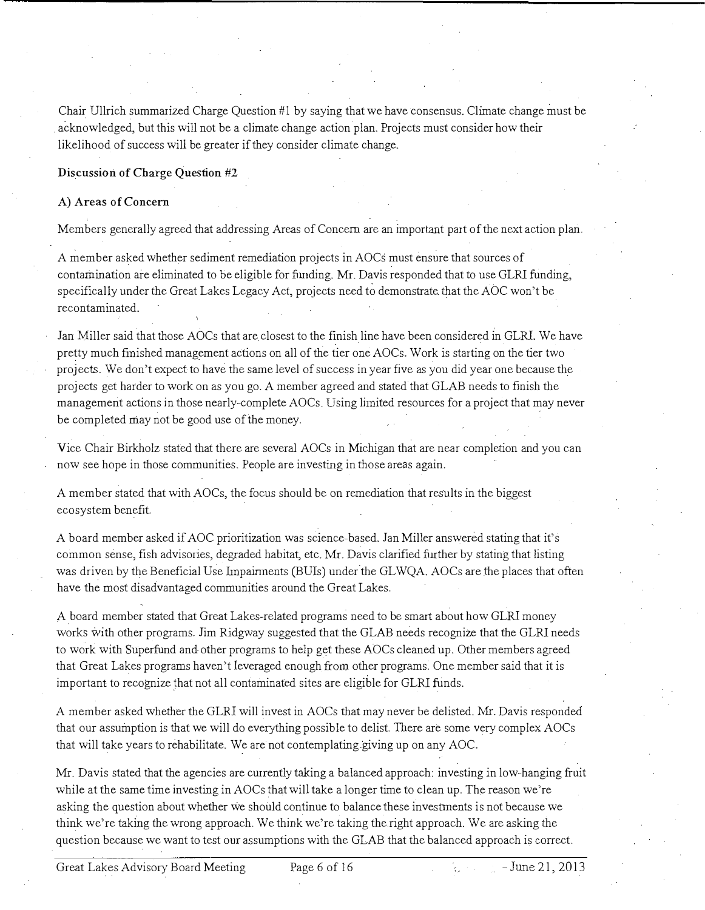Chair Ullrich summarized Charge Question  $#1$  by saying that we have consensus. Climate change must be acknowledged, but this will not be a climate change action plan. Projects must consider how their likelihood of success will be greater if they consider climate change.

Discussion of Charge Question #2

### A) Areas of Concern

Members generally agreed that addressing Areas of Concern are an important part of the next action plan.

A member asked whether sediment remediation projects in AOCs must ensure that sources of contamination are eliminated to be eligible for funding. Mr. Davis responded that to use GLRI funding, specifically under the Great Lakes Legacy Act, projects need to demonstrate. that the AOC won't be recontaminated.

Jan Miller said that those AOCs that are closest to the finish line have been considered in GLRI. We have pretty much fmished management actions on all of the tier one AOCs. Work is starting on the tier two projects. We don't expect to have the same level of success in year five as you did year one because the projects get harder to work on as you go. A member agreed and stated that GLAB needs to finish the management actions in those nearly-complete AOCs. Using limited resources for a project that may never be completed may not be good use of the money.

Vice Chair Birkholz stated that there are several AOCs in Michigan that are near completion and you can now see hope in those communities. People are investing in those areas again.

A member stated that with AOCs, the focus should be on remediation that results in the biggest ecosystem benefit.

A board member asked if AOC prioritization was science-based. Jan Miller answered stating that it's common sense, fish advisories, degraded habitat, etc. Mr. Davis clarified further by stating that listing was driven by the Beneficial Use Impairments (BUis) under the GLWQA. AOCs are the places that often have the most disadvantaged communities around the Great Lakes.

A board member stated that Great Lakes-related programs need to be smart about how GLRl money works with other programs. Jim Ridgway suggested that the GLAB needs recognize that the GLRI needs to work with Superfund and other programs to help get these AOCs cleaned up. Other members agreed that Great Lakes programs haven't leveraged enough from other programs. One member said that it is important to recognize that not all contaminated sites are eligible for GLRI funds.

A member asked whether the GLRI will invest in AOCs that may never be delisted. Mr. Davis responded that our assumption is that we will do everything possible to delist. There are some very complex AOCs that will take years to rehabilitate. We are not contemplating giving up on any AOC.

Mr. Davis stated that the agencies are currently taking a balanced approach: investing in low-hanging fruit while at the same time investing in AOCs that will take a longer time to clean up. The reason we're asking the question about whether we should continue to balance these investments is not because we think we're taking the wrong approach. We think we're taking the.right approach. We are asking the question because we want to test our assumptions with the GLAB that the balanced approach is correct.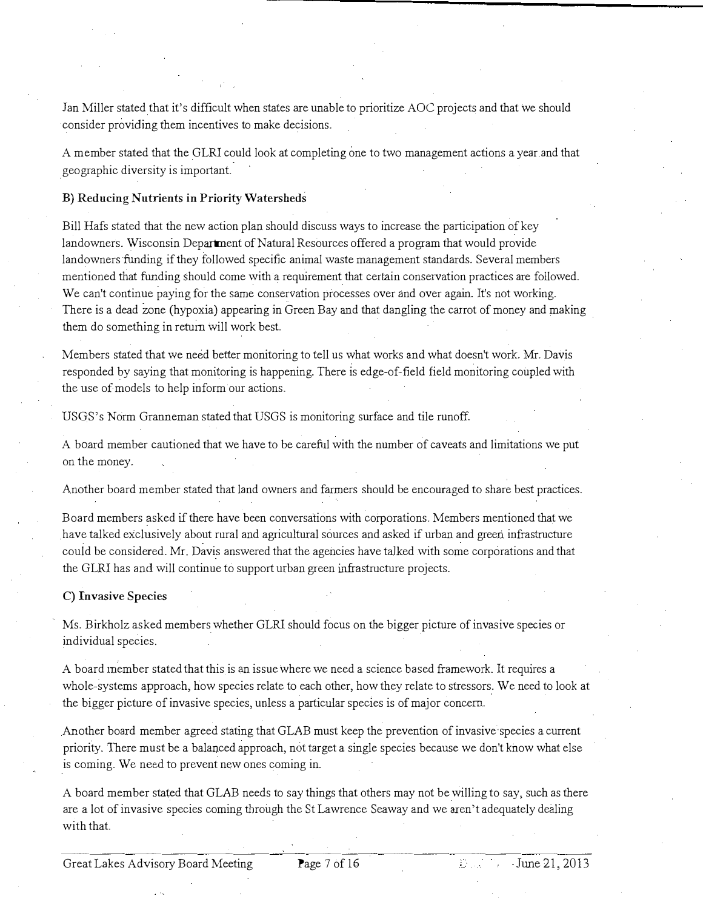Jan Miller stated that it's difficult when states are unable to prioritize AOC projects and that we should consider providing them incentives to make decisions.

A member stated that the GLRl could look at completing one to two management actions a year and that geographic diversity is important

### B) Reducing Nutrients in Priority Watersheds

Bill Hafs stated that the new action plan should discuss ways to increase the participation of key landowners. Wisconsin Department of Natural Resources offered a program that would provide landowners funding if they followed specific animal waste management standards. Several members mentioned that funding should come with a requirement that certain conservation practices are followed\_ We can't continue paying for the same conservation processes over and over again. It's not working. There is a dead zone (hypoxia) appearing in Green Bay and that dangling the carrot of money and making them do something in return will work best

Members stated that we need better monitoring to tell us what works and what doesn't work Mr. Davis responded by saying that monitoring is happening. There is edge-of-field field monitoring coupled with the use of models to help inform our actions.

USGS's Norm Granneman stated that USGS is monitoring surface and tile runoff.

A board member cautioned that we have to be careful with the number of caveats and limitations we put on the money.

Another board member stated that land owners and farmers should be encouraged to share best practices.

Board members asked if there have been conversations with corporations. Members mentioned that we have talked exclusively about rural and agricuJtural sources and asked if urban and green infrastructure could be considered\_ Mr. Davis answered that the agencies have talked with some corporations and that the GLRl has and will continue to support urban green infrastructure projects.

### C) Invasive Species

Ms. Birkholz asked members whether GLRl should focus on the bigger picture of invasive species or individual species.

A board inember stated that this is an issue where we need a science based framework. It requires a whole-systems approach, how species relate to each other, how they relate to stressors. We need to look at the bigger picture of invasive species, unless a particular species is of major concern.

Another board member agreed stating that GLAB must keep the prevention of invasive·species a current priority. There must be a balanced approach, not target a single species because we don't know what else is coming. We need to prevent new ones coming in.

A board member stated that GLAB needs to say things that others may not be willing to say, such as there are a lot of invasive species coming through the St Lawrence Seaway and we aren't adequately dealing with that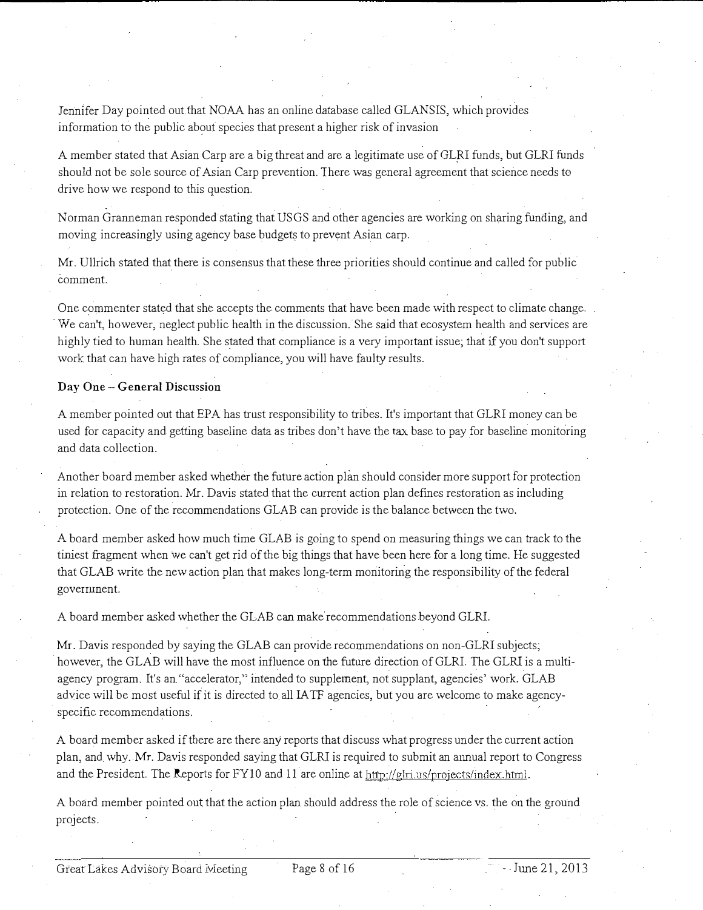Jennifer Day pointed out that NOAA has an online database called GLANSIS, which provides information to the public about species that present a higher risk of invasion

A member stated that Asian Carp are a big threat and are a legitimate use of GLRl funds, but GLRl funds should not be sole source of Asian Carp prevention. There was general agreement that science needs to drive how we respond to this question.

Norman Granneman responded stating that USGS and other agencies are working on sharing funding, and moving increasingly using agency base budgets to prevent Asian carp.

Mr. Ullrich stated that there is consensus that these three priorities should continue and called for public comment.

One commenter stated that she accepts the comments that have been made with respect to climate change. We can't, however, neglect public health in the discussion. She said that ecosystem health and services are highly tied to human health. She stated that compliance is a very important issue; that if you don't support work that can have high rates of compliance, you will have faulty results.

### Day One- General Discussion

A member pointed out that EPA has trust responsibility to tribes. It's important that GLRl money can be used for capacity and getting baseline data as tribes don't have the tax base to pay for baseline monitoring and data collection.

Another board member asked whether the future action plan should consider more support for protection in relation to restoration. Mr. Davis stated that the current action plan defines restoration as including protection. One of the recommendations GLAB can provide is the balance between the two.

A board member asked how much time GLAB is going to spend on measuring things we can track to the tiniest fragment when we can't get rid of the big things that have been here for a long time. He suggested that GLAB write the new action piau that makes long-term monitoring the responsibility of the federal goverrunent.

A board member asked whether the GLAB can make recommendations beyond GLRI.

Mr. Davis responded by saying the GLAB can provide recommendations on non-GLRl subjects; however, the GLAB will have the most influence on the future direction of GLRl The GLRl is a multiagency program. It's an "accelerator," intended to supplement, not supplant, agencies' work. GLAB advice will be most useful if it is directed to. all IA TF agencies, but you are welcome to make agencyspecific recommendations.

A board member asked if there are there any reports that discuss what progress under the current action plan, and why. Mr. Davis responded saying that GLRI is required to submit an armual report to Congress and the President. The Reports for FY10 and 11 are online at http://glri.us/projects/index.html.

A board member pointed out that the action plan should address the role of science vs. the on the ground projects.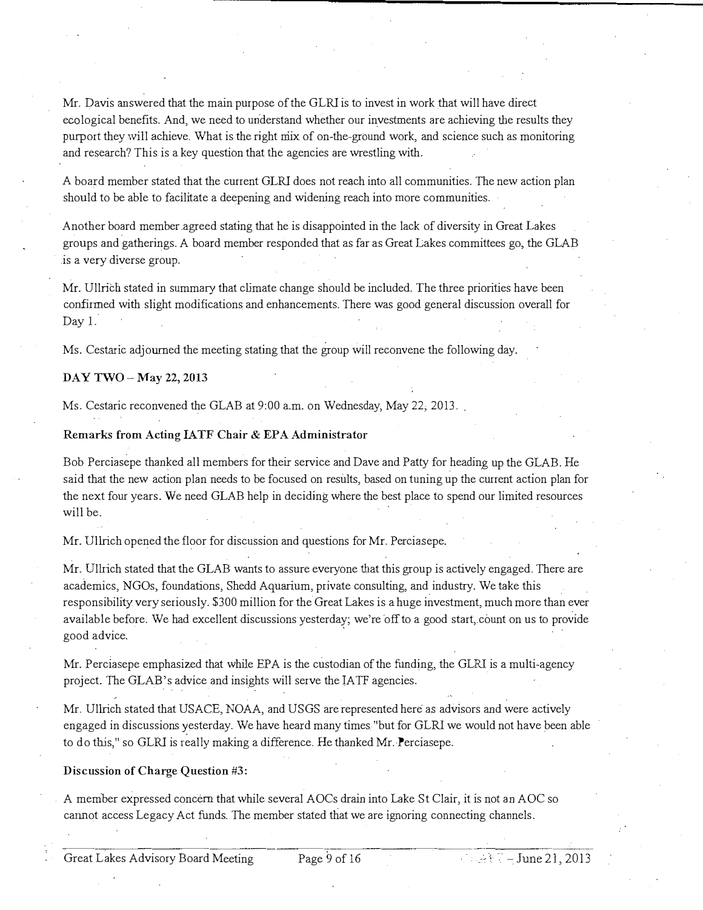Mr. Davis answered that the main purpose of the GLRI is to invest in work that will have direct ecological benefits. And, we need to understand whether our investments are achieving the results they purport they will achieve\_ What is the right niix of on-the-ground work, and science such as monitoring and research? This is a key question that the agencies are wrestling with.

A board member stated that the current GLRI does not reach into all communities. The new action plan should to be able to facilitate a deepening and widening reach into more communities.

Another board member agreed stating that he is disappointed in the lack of diversity in Great Lakes groups and gatherings. A board member responded that as far as Great Lakes committees go, the GLAB is a very diverse group.

Mr. Ullrich stated in summary that climate change should be included. The three priorities have been confirmed with slight modifications and enhancements. There was good general discussion overall for Day 1.

Ms. Cestaric adjourned the meeting stating that the group will reconvene the following day.

### DAY TWO- May 22, 2013

Ms. Cestaric reconvened the GLAB at 9:00 a.m. on Wednesday, May 22, 2013.

#### Remarks from Acting IATF Chair & EPA Administrator

Bob Perciasepe thanked all members for their service and Dave and Patty for heading up the GLAB. He said that the new action plan needs to be focused on results, based on tuning up the current action plan for the next four years. We need GLAB help in deciding where the best place to spend our limited resources will be.

Mr. Ullrich opened the floor for discussion and questions for Mr. Perciasepe.

Mr. Ullrich stated that the GLAB wants to assure everyone that this group is actively engaged. There are academics, NGOs, foundations, Shedd Aquarium, private consulting, and industry. We take this responsibility very seriously. \$3 00 million for the Great Lakes is a huge investment, much more than ever available before. We had excellent discussions yesterday; we're off to a good start, count on us to provide good advice.

Mr. Perciasepe emphasized that while EPA is the custodian of the funding, the GLRI is a multi-agency project. The GLAB's advice and insights will serve the IATF agencies.

Mr. Ullrich stated that US ACE, NOAA, and USGS are represented here as advisors and were actively engaged in discussions �esterday. We have heard many times. "but for GLRJ we would not have been able to do this," so GLRI is really making a difference. He thanked Mr. Perciasepe.

#### Discussion of Charge Question #3:

A member expressed concern that while several AOCs drain into Lake St Clair, it is not an AOC so cannot access Legacy Act funds. The member stated that we are ignoring connecting channels .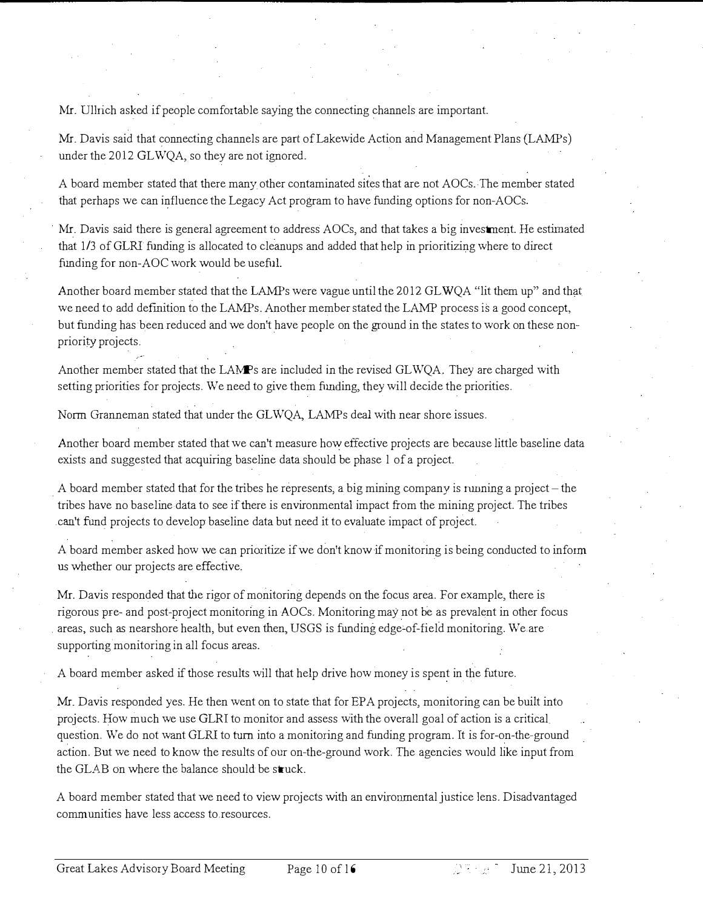Mr. Ullrich asked if people comfortable saying the connecting channels are important.

Mr. Davis said that connecting channels are part of Lakewide Action and Management Plans (LAMPs) under the 2012 GLWQA, so they are not ignored.

A board member stated that there many other contaminated sites that are not AOCs.The member stated that perhaps we can influence the Legacy Act program to have funding options for non-AOCs.

Mr. Davis said there is general agreement to address AOCs, and that takes a big investment. He estimated that 1/3 of GLRI funding is allocated to cleanups and added that help in prioritizing where to direct funding for non-AOC work would be usefuL

Another board member stated that the LAMPs were vague until the 2012 GLWQA "lit them up" and that we need to add defmition to the LAMPs. Another member stated the LAMP process is a good concept, but funding has been reduced and we don't have people on the ground in the states to work on these nonpriority projects.

Another member stated that the LAMPs are included in the revised GLWQA. They are charged with setting priorities for projects. We need to give them funding, they will decide the priorities.

Norm Granneman stated that under the GLWQA, LAMPs deal with near shore issues.

Another board member stated that we can't measure how effective projects are because little baseline data exists and suggested that acquiring baseline data should be phase l of a project.

A board member stated that for the tribes he represents, a big mining company is running a project-the tribes have no baseline data to see if there is environmental impact from the mining project. The tribes can't fund projects to develop baseline data but need it to evaluate impact of project.

A board member asked how we can prioritize if we don't know if monitoring is being conducted to inform us whether our projects are effective.

Mr. Davis responded that the rigor of monitoring depends on the focus area. For example, there is rigorous pre- and post-project monitoring in AOCs. Monitoring may not be as prevalent in other focus areas, such as nearshore health, but even then, USGS is funding edge-of-field monitoring. We are supporting monitoring in all focus areas.

A board member asked if those results will that help drive how money is spent in the future.

Mr. Davis responded yes. He then went on to state that for EPA projects, monitoring can be built into projects. How much we use GLRI to monitor and assess with the overall goal of action is a critical. question. We do not want GLRI to turn into a monitoring and funding program. It is for-on-the-ground action. But we need to know the results of our on-the-ground work. The agencies would like input from the GLAB on where the balance should be  $struck$ .

A board member stated that we need to view projects with an enviromnental justice lens. Disadvantaged communities have less access to.resources.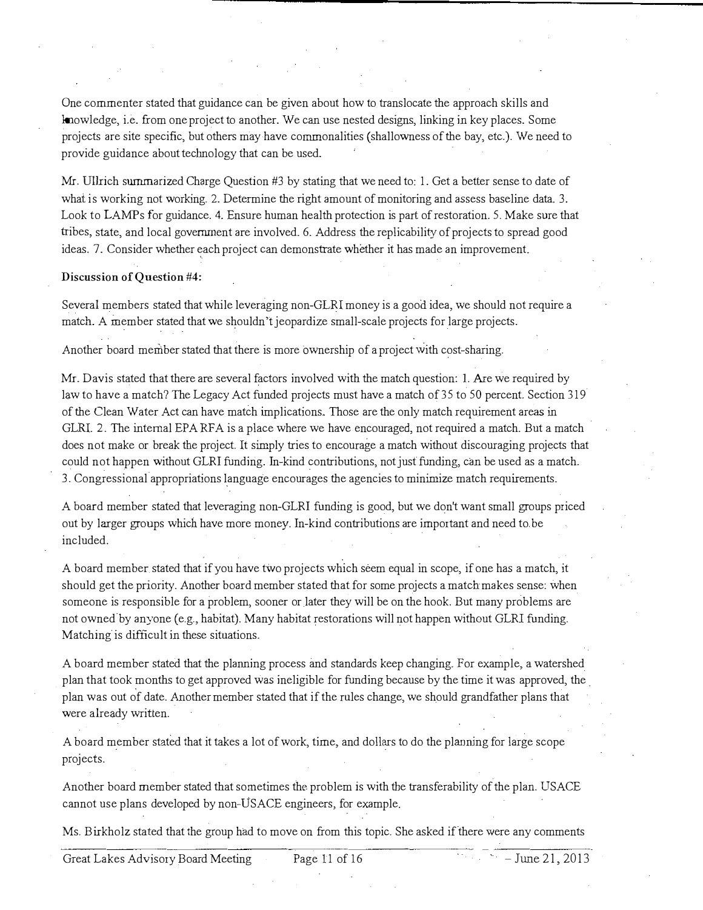One commenter stated that guidance can be given about how to translocate the approach skills and knowledge, i.e. from one project to another. We can use nested designs, linking in key places. Some projects are site specific, but others may have commonalities (shallowness of the bay, etc.). We need to provide guidance about technology that can be used.

Mr. Ullrich summarized Charge Question #3 by stating that we need to: 1. Get a better sense to date of what is working not working. 2. Determine the right amount of monitoring and assess baseline data. 3. Look to LAMPs for guidance. 4. Ensure human health protection is part of restoration. 5. Make sure that tribes, state, and local government are involved. 6. Address the replicability of projects to spread good ideas. 7. Consider whether each project can demonstrate whether it has made an improvement.

### Discussion of Question #4:

Several members stated that while leveraging non-GLRI money is a good idea, we should not require a match. A member stated that we shouldn't jeopardize small-scale projects for large projects.

Another board member stated that there is more ownership of a project with cost-sharing.

Mr. Davis stated that there are several factors involved with the match question: I. Are we required by law to have a match? The Legacy Act funded projects must have a match of 35 to 50 percent. Section 319 of the Clean Water Act can have match implications, Those are the only match requirement areas in GLRI. 2. The internal EPA RFA is a place where we have encouraged, not required a match. But a match does not make or break the project. It simply tries to encourage a match without discouraging projects that could not happen without GLRI funding. In-kind contributions, not just funding, can be used as a match. 3. Congressional appropriations language encourages the agencies to minimize match requirements.

A board member stated that leveraging non-GLRI funding is good, but we don't want small groups priced out by larger groups which have more money. In-kind contributions are important and need to be included.

A board member stated that if you have two projects which seem equal in scope, if one has a match, it should get the priority. Another board member stated that for some projects a match makes sense: when someone is responsible for a problem, sooner or later they will be on the hook. But many problems are not owned by anyone (e.g., habitat). Many habitat restorations will not happen without GLRI funding. Matching is difficult in these situations.

A board member stated that the planning process and standards keep changing. For example, a watershed plan that took months to get approved was ineligible for funding because by the time it was approved, the plan was out of date. Another member stated that if the rules change, we should grandfather plans that were already written.

A board member stated that it takes a lot of work, time, and dollars to do the planning for large scope projects.

Another board member stated that sometimes the problem is with the transferability of the plan. US ACE cannot use plans developed by non-USACE engineers, for example.

Ms. Birkholz stated that the group had to move on from this topic. She asked if there were any comments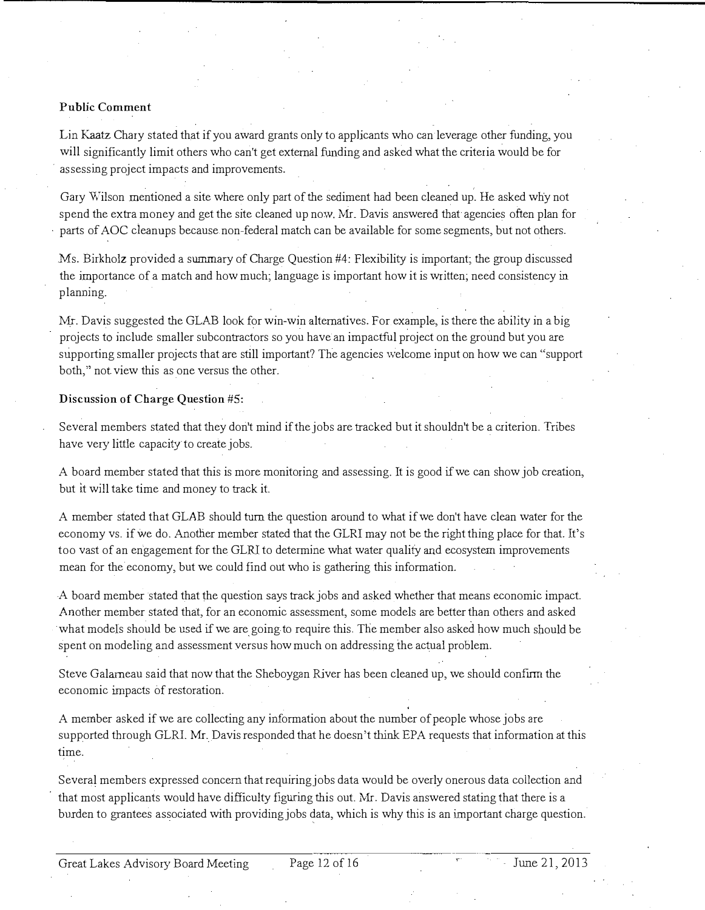### Public Comment

Lin Kaatz Chary stated that if you award grants only to applicants who can leverage other funding, you will significantly limit others who can't get external funding and asked what the criteria would be for assessing project impacts and improvements.

Gary Wilson mentioned a site where only part of the sediment had been cleaned up. He asked why not spend the extra money and get the site cleaned up now. Mr. Davis answered that agencies often plan for parts of AOC cleanups because non-federal match can be available for some segments, but not others.

Ms. Birkholz provided a summary of Charge Question #4: Flexibility is important; the group discussed the importance of a match and how much; language is important how it is written; need consistency in planning.

Mr. Davis suggested the GLAB look for win-win alternatives. For example, is there the ability in a big projects to include smaller subcontractors so you have an impactful project on the ground but you are supporting smaller projects that are still important? The agencies welcome input on how we can "support both," not view this as one versus the other.

### Discussion of Charge Question #S:

Several members stated that they don't mind if the jobs are tracked but it shouldn't be a criterion. Tribes have very little capacity to create jobs.

A board member stated that this is more monitoring and assessing. It is good if we can show job creation, but it will take time and money to track it.

A member stated that GLAB should tum the question around to what if we don't have clean water for the economy vs. if we do. Another member stated that the GLRI may not be the right thing place for that. It's too vast of an engagement for the GLRI to determine what water quality and ecosystem improvements mean for the economy, but we could find out who is gathering this information.

A board member stated that the question says track jobs and asked whether that means economic impact. Another member stated that, for an economic assessment, some models are better than others and asked what models should be used if we are going to require this. The member also asked how much should be spent on modeling and assessment versus how much on addressing the actual problem.

Steve Galarneau said that now that the Sheboygan River has been cleaned up, we should confm the economic impacts of restoration.

A member asked if we are collecting any information about the number of people whose jobs are supported through GLRI. Mr. Davis responded that he doesn't think EPA requests that information at this time.

Several members expressed concern that requiring jobs data would be overly onerous data collection and that most applicants would have difficulty figuring this out. Mr. Davis answered stating that there is a burden to grantees associated with providing jobs data, which is why this is an important charge question.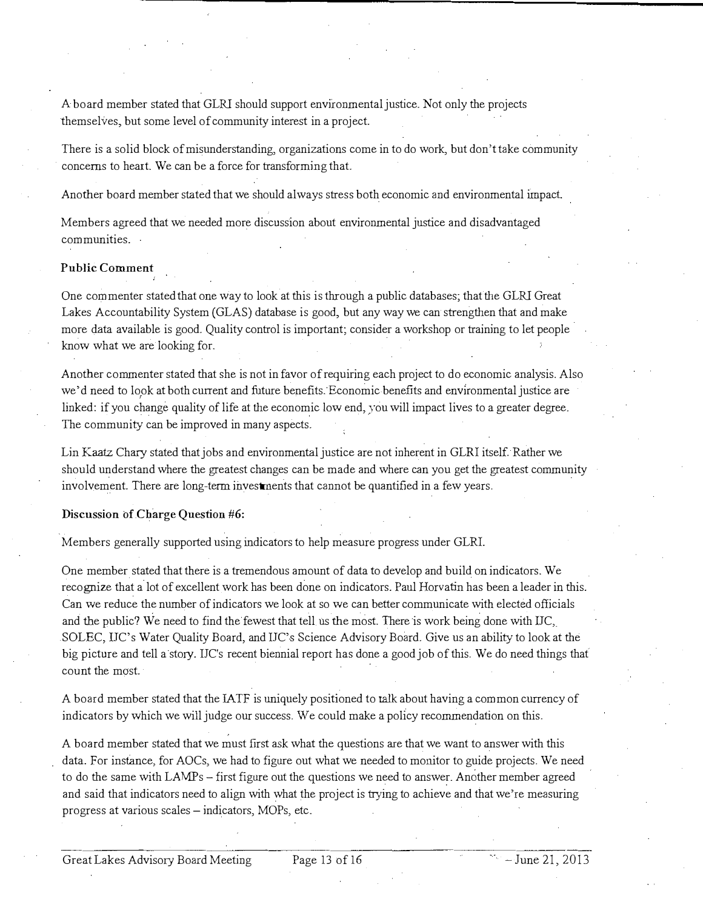A board member stated that GLRl should support environmental justice. Not only the projects themselves, but some level of community interest in a project

There is a solid block of misunderstanding, organizations come in to do work, but don't take community concerns to heart. We can be a force for transforming that.

Another board member stated that we should always stress both economic and environmental impact

Members agreed that we needed more discussion about environmental justice and disadvantaged communities.

# Public Comment

One commenter stated that one way to look at this is through a public databases; that fue GLRl Great Lakes Accountability System (GLAS) database is good, but any way we can strengthen that and make more data available is good. Quality control is important; consider a workshop or training to let people know what we are looking for.

Another commenter stated that she is not in favor of requiring each project to do economic analysis. Also we'd need to look at both current and future benefits. Economic benefits and environmental justice are linked: if you change quality of life at the economic low end, you will impact lives to a greater degree. The community can be improved in many aspects.

Lin Kaatz Chary stated that jobs and environmental justice are not inherent in GLRl itself Rather we should understand where the greatest changes can be made and where can you get the greatest community involvement. There are long-term investments that cannot be quantified in a few years.

### Discussion of Charge Question #6:

Members generally supported using indicators to help measure progress under GLRl.

One member stated that there is a tremendous amount of data to develop and build on indicators. We recognize that a lot of excellent work has been done on indicators. Paul Horvatin has been a leader in this. Can we reduce the number of indicators we look at so we can better communicate with elected officials and the public? We need to find the fewest that tell us the most. There is work being done with IIC, SOLEC, IIC's Water Quality Board, and IIC's Science Advisory Board. Give us an ability to look at the big picture and tell a story. IJC's recent biennial report has done a good job of this. We do need things that count the most

A board member stated that the IA TF is uniquely positioned to talk about having a common currency of indicators by which we will judge our success. We could make a policy recommendation on this.

A board member stated that we must frrst ask what the questions are that we want to answer with this data. For instance, for AOCs, we had to figure out what we needed to monitor to guide projects. We need to do the same with LAMPs - first figure out the questions we need to answer. Another member agreed and said that indicators need to align with what the project is trying to achieve and that we're measuring progress at various scales- indicators, MOPs, etc.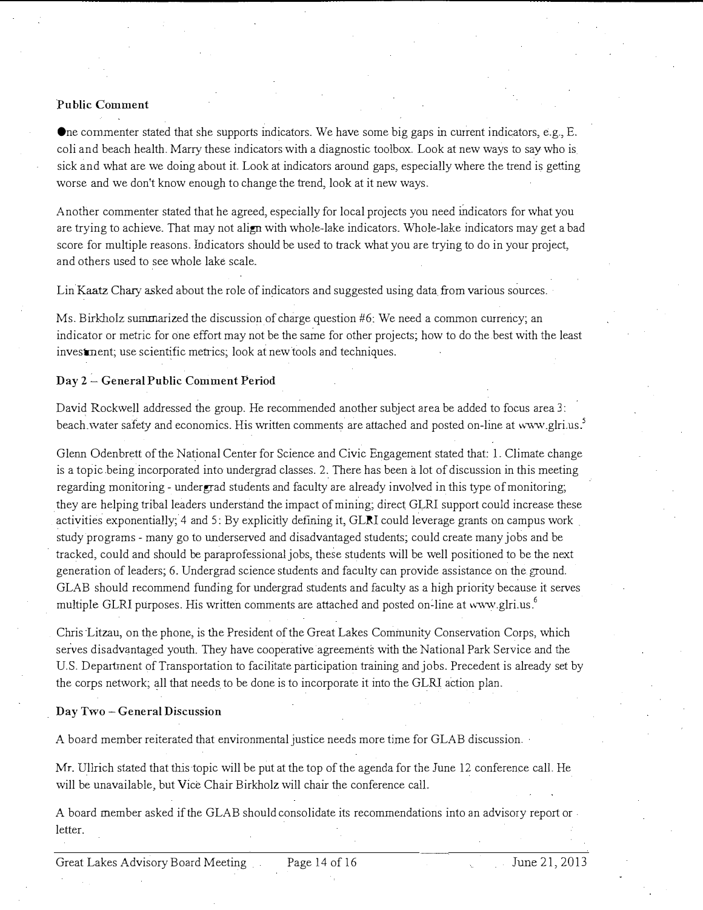# Public Comment

One commenter stated that she supports indicators\_ We have some big gaps in current indicators, e.g., E. coli and beach health. Marry these indicators with a diagnostic toolbox. Look at new ways to say who is sick and what are we doing about it Look at indicators around gaps, especially where the trend is getting worse and we don't know enough to change the trend, look at it new ways.

Another commenter stated that he agreed, especially for local projects you need rndicators for what you are trying to achieve. That may not align with whole-lake indicators. Whole-lake indicators may get a bad score for multiple reasons. Indicators should be used to track what you are trying to do in your project, and others used to see whole lake scale\_

Lin Kaatz Chary asked about the role of indicators and suggested using data from various sources.

Ms. Birkholz summarized the discussion of cbarge question #6: We need a common currency; an indicator or metric for one effort may not be the same for other projects; how to do the best with the least investment; use scientific metrics; look at new tools and techniques.

### Day 2- General Public Comment Period

David Rockwell addressed the group. He recommended another subject area be added to focus area 3: beach. water safety and economics. His written comments are attached and posted on-line at www.glri.us.<sup>5</sup>

Glenn Odenbrett of the National Center for Science and Civic Engagement stated that: L Climate change is a topic being incorporated into undergrad classes. 2. There has been a lot of discussion in this meeting regarding monitoring- undergrad students and faculty are already involved in this type of monitoring; they are helping tribal leaders understand the impact of mining; direct GLRl support could increase these activities exponentially; 4 and 5: By explicitly defining it,  $GLN$  could leverage grants on campus work study programs- many go to underserved and disadvantaged students; could create many jobs and be tracked, could and should be paraprofessional jobs, these students will be well positioned to be the next generation of leaders; 6. Undergrad science students and faculty can provide assistance on the ground\_ GLAB should recommend funding for undergrad students and faculty as a high priority because it serves multiple GLRI purposes. His written comments are attached and posted on-line at www.glri.us.<sup>6</sup>

Chris Litzau, on the phone, is the President of the Great Lakes Community Conservation Corps, which serves disadvantaged youth. They have cooperative agreements with the National Park Service and the U.S. Department of Transportation to facilitate participation training and jobs. Precedent is already set by the corps network; all that needs to be done is to incorporate it into the GLRl action plan.

### Day Two- General Discussion

A board member reiterated that environmental justice needs more time for GLAB discussion.

Mr. Ullrich stated that this topic will be put at the top of the agenda for the June 12 conference call. He will be unavailable, but Vice Chair Birkholz will chair the conference call.

A board member asked if the GLAB should consolidate its recommendations into an advisory report or. letter.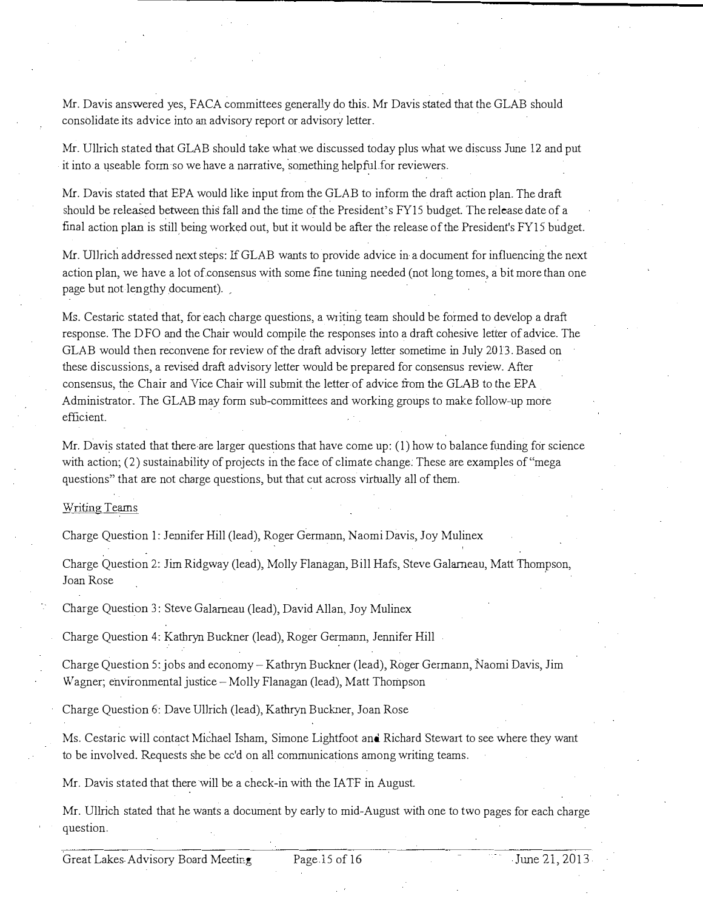Mr. Davis answered yes, FACA committees generally do this. Mr Davis stated that the GLAB should consolidate its advice into an advisory report or advisory letter.

Mr. Ullrich stated that GLAB should take what we discussed today plus what we discuss June 12 and put it into a useable form so we have a narrative, something helpful for reviewers.

Mr. Davis stated that EPA would like input from the GLAB to inform the draft action plan. The draft should be released between this fall and the time of the President's FY15 budget. The release date of a fmal action plan is still being worked out, but it would be after the release of the President's FY15 budget.

Mr. Ullrich addressed next steps: If GLAB wants to provide advice in a document for influencing the next action plan, we have a lot of consensus with some fine tuning needed (not long tomes, a bit more than one page but not lengthy document).

Ms. Cestaric stated that, for each charge questions, a writing team should be formed to develop a draft response. The DFO and the Chair would compile the responses into a draft cohesive letter of advice. The GLAB would then reconvene for review of the draft advisory letter sometime in July 20 13. Based on these discussions, a revised draft advisory letter wonld be prepared for consensus review. After consensus, the Chair and Vice Chair will submit the letter of advice from the GLAB to the EPA Administrator. The GLAB may form sub-committees and working groups to make follow-up more efficient.

Mr. Davis stated that there are larger questions that have come up:  $(1)$  how to balance funding for science with action; (2) sustainability of projects in the face of climate change. These are examples of "mega questions" that are not charge questions, but that cut across virtually all of them.

#### Writing Teams

Charge Question I: Jennifer Hill (lead), Roger Germann, Naomi Davis, Joy Mulinex

Charge Question 2: Jim Ridgway (lead), Molly Flanagan, Bill Hafs, Steve Galarneau, Matt Thomrson, Joan Rose

Charge Question 3: Steve Galarneau (lead), David Allan, Joy Mulinex

Charge Question 4: Kathryn Buckner (lead), Roger Germann, Jennifer Hill

Charge Question 5: jobs and economy- Kathryn Buckner (lead), Roger Germarm, Naomi Davis, Jim Wagner; environmental justice-Molly Flanagan (lead), Matt Thompson

Charge Question 6: Dave Ullrich (lead), Kathryn Buckner, Joan Rose

Ms. Cestaric will contact Michael Isham, Simone Lightfoot and Richard Stewart to see where they want to be involved. Requests she be cc'd on all communications among writing teams.

Mr. Davis stated that there will be a check-in with the IATF in August.

Mr. Ullrich stated that he wants a document by early to mid-August with one to two pages for each charge question.